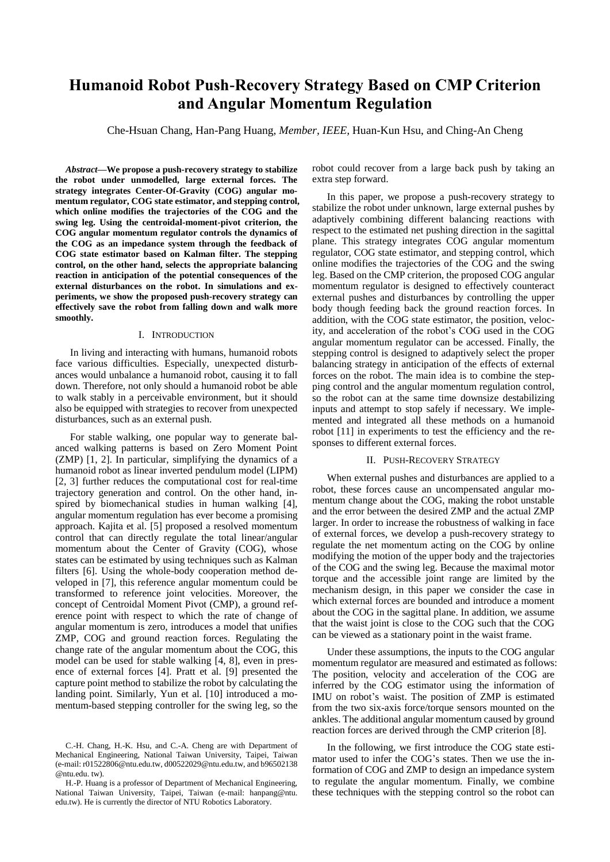# **Humanoid Robot Push-Recovery Strategy Based on CMP Criterion and Angular Momentum Regulation**

Che-Hsuan Chang, Han-Pang Huang, *Member, IEEE,* Huan-Kun Hsu, and Ching-An Cheng

*Abstract***—We propose a push-recovery strategy to stabilize the robot under unmodelled, large external forces. The strategy integrates Center-Of-Gravity (COG) angular momentum regulator, COG state estimator, and stepping control, which online modifies the trajectories of the COG and the swing leg. Using the centroidal-moment-pivot criterion, the COG angular momentum regulator controls the dynamics of the COG as an impedance system through the feedback of COG state estimator based on Kalman filter. The stepping control, on the other hand, selects the appropriate balancing reaction in anticipation of the potential consequences of the external disturbances on the robot. In simulations and experiments, we show the proposed push-recovery strategy can effectively save the robot from falling down and walk more smoothly.**

## I. INTRODUCTION

In living and interacting with humans, humanoid robots face various difficulties. Especially, unexpected disturbances would unbalance a humanoid robot, causing it to fall down. Therefore, not only should a humanoid robot be able to walk stably in a perceivable environment, but it should also be equipped with strategies to recover from unexpected disturbances, such as an external push.

For stable walking, one popular way to generate balanced walking patterns is based on Zero Moment Point (ZMP) [\[1,](#page-5-0) [2\]](#page-5-1). In particular, simplifying the dynamics of a humanoid robot as linear inverted pendulum model (LIPM) [\[2,](#page-5-1) [3\]](#page-5-2) further reduces the computational cost for real-time trajectory generation and control. On the other hand, inspired by biomechanical studies in human walking [\[4\]](#page-5-3), angular momentum regulation has ever become a promising approach. Kajita et al. [\[5\]](#page-5-4) proposed a resolved momentum control that can directly regulate the total linear/angular momentum about the Center of Gravity (COG), whose states can be estimated by using techniques such as Kalman filters [\[6\]](#page-5-5). Using the whole-body cooperation method developed in [\[7\]](#page-5-6), this reference angular momentum could be transformed to reference joint velocities. Moreover, the concept of Centroidal Moment Pivot (CMP), a ground reference point with respect to which the rate of change of angular momentum is zero, introduces a model that unifies ZMP, COG and ground reaction forces. Regulating the change rate of the angular momentum about the COG, this model can be used for stable walking [\[4,](#page-5-3) [8\]](#page-5-7), even in presence of external forces [\[4\]](#page-5-3). Pratt et al. [\[9\]](#page-5-8) presented the capture point method to stabilize the robot by calculating the landing point. Similarly, Yun et al. [\[10\]](#page-5-9) introduced a momentum-based stepping controller for the swing leg, so the

robot could recover from a large back push by taking an extra step forward.

In this paper, we propose a push-recovery strategy to stabilize the robot under unknown, large external pushes by adaptively combining different balancing reactions with respect to the estimated net pushing direction in the sagittal plane. This strategy integrates COG angular momentum regulator, COG state estimator, and stepping control, which online modifies the trajectories of the COG and the swing leg. Based on the CMP criterion, the proposed COG angular momentum regulator is designed to effectively counteract external pushes and disturbances by controlling the upper body though feeding back the ground reaction forces. In addition, with the COG state estimator, the position, velocity, and acceleration of the robot's COG used in the COG angular momentum regulator can be accessed. Finally, the stepping control is designed to adaptively select the proper balancing strategy in anticipation of the effects of external forces on the robot. The main idea is to combine the stepping control and the angular momentum regulation control, so the robot can at the same time downsize destabilizing inputs and attempt to stop safely if necessary. We implemented and integrated all these methods on a humanoid robot [\[11\]](#page-5-10) in experiments to test the efficiency and the responses to different external forces.

## II. PUSH-RECOVERY STRATEGY

When external pushes and disturbances are applied to a robot, these forces cause an uncompensated angular momentum change about the COG, making the robot unstable and the error between the desired ZMP and the actual ZMP larger. In order to increase the robustness of walking in face of external forces, we develop a push-recovery strategy to regulate the net momentum acting on the COG by online modifying the motion of the upper body and the trajectories of the COG and the swing leg. Because the maximal motor torque and the accessible joint range are limited by the mechanism design, in this paper we consider the case in which external forces are bounded and introduce a moment about the COG in the sagittal plane. In addition, we assume that the waist joint is close to the COG such that the COG can be viewed as a stationary point in the waist frame.

Under these assumptions, the inputs to the COG angular momentum regulator are measured and estimated as follows: The position, velocity and acceleration of the COG are inferred by the COG estimator using the information of IMU on robot's waist. The position of ZMP is estimated from the two six-axis force/torque sensors mounted on the ankles. The additional angular momentum caused by ground reaction forces are derived through the CMP criterion [\[8\]](#page-5-7).

In the following, we first introduce the COG state estimator used to infer the COG's states. Then we use the information of COG and ZMP to design an impedance system to regulate the angular momentum. Finally, we combine these techniques with the stepping control so the robot can

C.-H. Chang, H.-K. Hsu, and C.-A. Cheng are with Department of Mechanical Engineering, National Taiwan University, Taipei, Taiwan (e-mail: r01522806@ntu.edu.tw, d00522029@ntu.edu.tw, and b96502138 @ntu.edu. tw).

H.-P. Huang is a professor of Department of Mechanical Engineering, National Taiwan University, Taipei, Taiwan (e-mail: hanpang@ntu. edu.tw). He is currently the director of NTU Robotics Laboratory.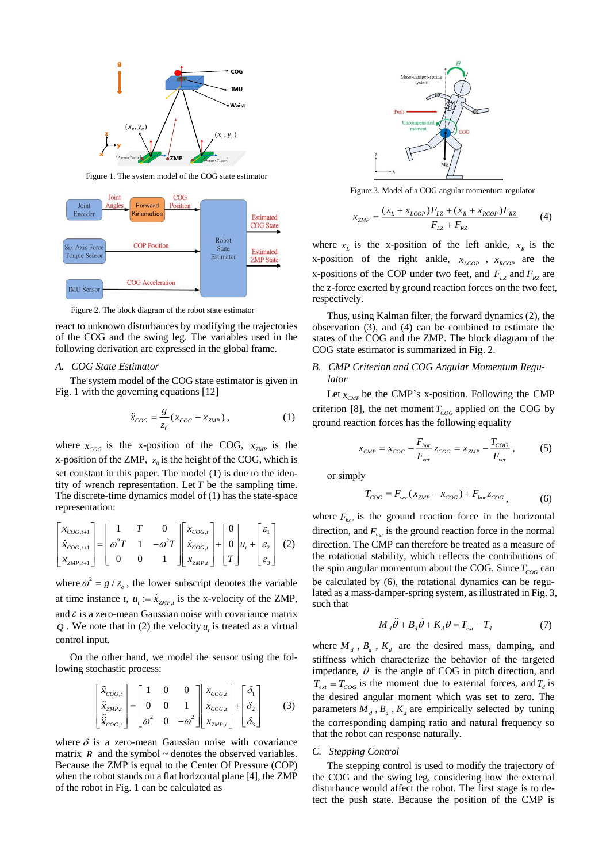

Figure 1. The system model of the COG state estimator



Figure 2. The block diagram of the robot state estimator

react to unknown disturbances by modifying the trajectories of the COG and the swing leg. The variables used in the following derivation are expressed in the global frame.

### *A. COG State Estimator*

The system model of the COG state estimator is given in Fig. 1 with the governing equations [\[12\]](#page-5-11)

$$
\ddot{x}_{COG} = \frac{g}{z_0} (x_{COG} - x_{ZMP}), \qquad (1)
$$

where  $x_{\text{COG}}$  is the x-position of the COG,  $x_{\text{ZMP}}$  is the x-position of the ZMP,  $z_0$  is the height of the COG, which is set constant in this paper. The model (1) is due to the identity of wrench representation. Let  $T$  be the sampling time. The discrete-time dynamics model of (1) has the state-space representation:

$$
\begin{bmatrix} x_{COG,t+1} \\ \dot{x}_{COG,t+1} \\ x_{ZMP,t+1} \end{bmatrix} = \begin{bmatrix} 1 & T & 0 \\ \omega^2 T & 1 & -\omega^2 T \\ 0 & 0 & 1 \end{bmatrix} \begin{bmatrix} x_{COG,t} \\ \dot{x}_{COG,t} \\ x_{ZMP,t} \end{bmatrix} + \begin{bmatrix} 0 \\ 0 \\ T \end{bmatrix} u_t + \begin{bmatrix} \varepsilon_1 \\ \varepsilon_2 \\ \varepsilon_3 \end{bmatrix}
$$
 (2)

where  $\omega^2 = g / z_o$ , the lower subscript denotes the variable at time instance *t*,  $u_t := x_{ZMP,t}$  is the x-velocity of the ZMP, and  $\varepsilon$  is a zero-mean Gaussian noise with covariance matrix Q. We note that in (2) the velocity  $u_t$  is treated as a virtual control input.

On the other hand, we model the sensor using the following stochastic process:

$$
\begin{bmatrix} \tilde{x}_{\text{COG},i} \\ \tilde{x}_{\text{ZMP},i} \\ \tilde{x}_{\text{COG},i} \end{bmatrix} = \begin{bmatrix} 1 & 0 & 0 \\ 0 & 0 & 1 \\ \omega^2 & 0 & -\omega^2 \end{bmatrix} \begin{bmatrix} x_{\text{COG},i} \\ \dot{x}_{\text{COG},i} \\ x_{\text{ZMP},i} \end{bmatrix} + \begin{bmatrix} \delta_1 \\ \delta_2 \\ \delta_3 \end{bmatrix}
$$
 (3)

where  $\delta$  is a zero-mean Gaussian noise with covariance matrix  $R$  and the symbol  $\sim$  denotes the observed variables. Because the ZMP is equal to the Center Of Pressure (COP) when the robot stands on a flat horizontal plane [\[4\]](#page-5-3), the ZMP of the robot in Fig. 1 can be calculated as



Figure 3. Model of a COG angular momentum regulator

$$
x_{ZMP} = \frac{(x_L + x_{LCOP})F_{LZ} + (x_R + x_{RCOP})F_{RZ}}{F_{LZ} + F_{RZ}}
$$
(4)

where  $x_L$  is the x-position of the left ankle,  $x_R$  is the x-position of the right ankle,  $x_{LCDP}$ ,  $x_{RCDP}$  are the x-positions of the COP under two feet, and  $F_{1Z}$  and  $F_{RZ}$  are the z-force exerted by ground reaction forces on the two feet, respectively.

Thus, using Kalman filter, the forward dynamics (2), the observation (3), and (4) can be combined to estimate the states of the COG and the ZMP. The block diagram of the COG state estimator is summarized in Fig. 2.

# *B. CMP Criterion and COG Angular Momentum Regulator*

Let  $x_{\text{CMP}}$  be the CMP's x-position. Following the CMP criterion [\[8\]](#page-5-7), the net moment  $T_{COG}$  applied on the COG by ground reaction forces has the following equality

$$
x_{\text{CMP}} = x_{\text{COG}} - \frac{F_{\text{hor}}}{F_{\text{ver}}} z_{\text{COG}} = x_{\text{ZMP}} - \frac{T_{\text{COG}}}{F_{\text{ver}}},\tag{5}
$$

or simply

$$
T_{COG} = F_{ver}(x_{ZMP} - x_{COG}) + F_{hor} z_{COG},
$$
 (6)

where  $F_{\text{hor}}$  is the ground reaction force in the horizontal direction, and  $F_{ver}$  is the ground reaction force in the normal direction. The CMP can therefore be treated as a measure of the rotational stability, which reflects the contributions of the spin angular momentum about the COG. Since  $T_{\text{COG}}$  can be calculated by (6), the rotational dynamics can be regulated as a mass-damper-spring system, as illustrated in Fig. 3, such that

$$
M_d \ddot{\theta} + B_d \dot{\theta} + K_d \theta = T_{ext} - T_d \tag{7}
$$

where  $M_d$ ,  $B_d$ ,  $K_d$  are the desired mass, damping, and stiffness which characterize the behavior of the targeted impedance,  $\theta$  is the angle of COG in pitch direction, and  $T_{ext} = T_{COG}$  is the moment due to external forces, and  $T_d$  is the desired angular moment which was set to zero. The parameters  $M_d$ ,  $B_d$ ,  $K_d$  are empirically selected by tuning the corresponding damping ratio and natural frequency so that the robot can response naturally.

### *C. Stepping Control*

The stepping control is used to modify the trajectory of the COG and the swing leg, considering how the external disturbance would affect the robot. The first stage is to detect the push state. Because the position of the CMP is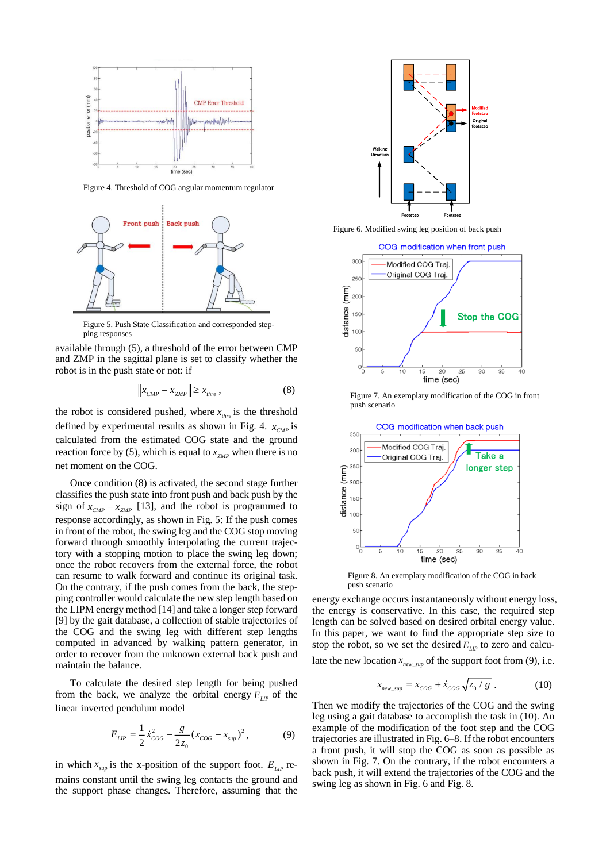

Figure 4. Threshold of COG angular momentum regulator



Figure 5. Push State Classification and corresponded stepping responses

available through (5), a threshold of the error between CMP and ZMP in the sagittal plane is set to classify whether the robot is in the push state or not: if

$$
\|x_{\text{CMP}} - x_{\text{ZMP}}\| \ge x_{\text{thre}}\,,\tag{8}
$$

the robot is considered pushed, where  $x_{\text{thre}}$  is the threshold defined by experimental results as shown in Fig. 4.  $x_{\text{CMP}}$  is calculated from the estimated COG state and the ground reaction force by (5), which is equal to  $x_{ZMP}$  when there is no net moment on the COG.

Once condition (8) is activated, the second stage further classifies the push state into front push and back push by the sign of  $x_{\text{CMP}} - x_{\text{ZMP}}$  [\[13\]](#page-5-12), and the robot is programmed to response accordingly, as shown in Fig. 5: If the push comes in front of the robot, the swing leg and the COG stop moving forward through smoothly interpolating the current trajectory with a stopping motion to place the swing leg down; once the robot recovers from the external force, the robot can resume to walk forward and continue its original task. On the contrary, if the push comes from the back, the stepping controller would calculate the new step length based on the LIPM energy method [\[14\]](#page-5-13) and take a longer step forward [\[9\]](#page-5-8) by the gait database, a collection of stable trajectories of the COG and the swing leg with different step lengths computed in advanced by walking pattern generator, in order to recover from the unknown external back push and maintain the balance.

To calculate the desired step length for being pushed from the back, we analyze the orbital energy  $E_{LP}$  of the linear inverted pendulum model

$$
E_{LIP} = \frac{1}{2} \dot{x}_{COG}^2 - \frac{g}{2z_0} (x_{COG} - x_{sup})^2, \tag{9}
$$

in which  $x_{\text{sup}}$  is the x-position of the support foot.  $E_{\text{LIP}}$  remains constant until the swing leg contacts the ground and the support phase changes. Therefore, assuming that the



Figure 6. Modified swing leg position of back push

COG modification when front push



Figure 7. An exemplary modification of the COG in front push scenario



Figure 8. An exemplary modification of the COG in back push scenario

energy exchange occurs instantaneously without energy loss, the energy is conservative. In this case, the required step length can be solved based on desired orbital energy value. In this paper, we want to find the appropriate step size to stop the robot, so we set the desired  $E_{LP}$  to zero and calcu-

late the new location  $x_{new\_sup}$  of the support foot from (9), i.e.

$$
x_{new\_sup} = x_{COG} + \dot{x}_{COG} \sqrt{z_0 / g} \tag{10}
$$

Then we modify the trajectories of the COG and the swing leg using a gait database to accomplish the task in (10). An example of the modification of the foot step and the COG trajectories are illustrated in Fig. 6–8. If the robot encounters a front push, it will stop the COG as soon as possible as shown in Fig. 7. On the contrary, if the robot encounters a back push, it will extend the trajectories of the COG and the swing leg as shown in Fig. 6 and Fig. 8.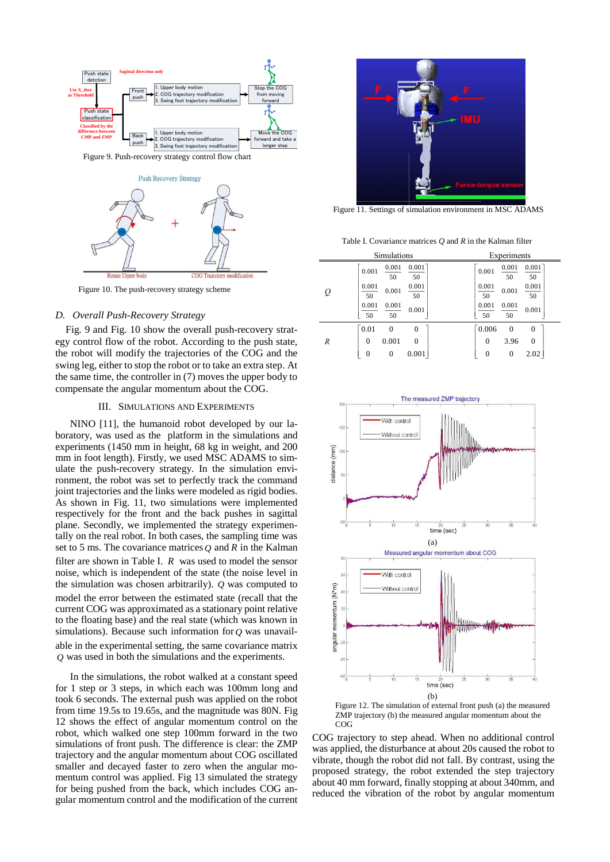

Figure 10. The push-recovery strategy scheme

#### *D. Overall Push-Recovery Strategy*

Fig. 9 and Fig. 10 show the overall push-recovery strategy control flow of the robot. According to the push state, the robot will modify the trajectories of the COG and the swing leg, either to stop the robot or to take an extra step. At the same time, the controller in (7) moves the upper body to compensate the angular momentum about the COG.

#### III. SIMULATIONS AND EXPERIMENTS

NINO [\[11\]](#page-5-10), the humanoid robot developed by our laboratory, was used as the platform in the simulations and experiments (1450 mm in height, 68 kg in weight, and 200 mm in foot length). Firstly, we used MSC ADAMS to simulate the push-recovery strategy. In the simulation environment, the robot was set to perfectly track the command joint trajectories and the links were modeled as rigid bodies. As shown in Fig. 11, two simulations were implemented respectively for the front and the back pushes in sagittal plane. Secondly, we implemented the strategy experimentally on the real robot. In both cases, the sampling time was set to 5 ms. The covariance matrices  $Q$  and  $R$  in the Kalman filter are shown in Table I. *R* was used to model the sensor noise, which is independent of the state (the noise level in the simulation was chosen arbitrarily). *Q* was computed to model the error between the estimated state (recall that the current COG was approximated as a stationary point relative to the floating base) and the real state (which was known in simulations). Because such information for *Q* was unavailable in the experimental setting, the same covariance matrix *Q* was used in both the simulations and the experiments.

In the simulations, the robot walked at a constant speed for 1 step or 3 steps, in which each was 100mm long and took 6 seconds. The external push was applied on the robot from time 19.5s to 19.65s, and the magnitude was 80N. Fig 12 shows the effect of angular momentum control on the robot, which walked one step 100mm forward in the two simulations of front push. The difference is clear: the ZMP trajectory and the angular momentum about COG oscillated smaller and decayed faster to zero when the angular momentum control was applied. Fig 13 simulated the strategy for being pushed from the back, which includes COG angular momentum control and the modification of the current



Figure 11. Settings of simulation environment in MSC ADAMS

Table I. Covariance matrices *Q* and *R* in the Kalman filter

|   | Simulations                                                   | Experiments                                     |
|---|---------------------------------------------------------------|-------------------------------------------------|
|   | $0.001$ ]<br>0.001<br>0.001<br>50<br>50                       | 0.001<br>0.001<br>0.001<br>50<br>50             |
|   | 0.001<br>0.001<br>0.001<br>$\overline{50}$<br>$\overline{50}$ | 0.001<br>0.001<br>0.001<br>$\frac{1}{50}$<br>50 |
|   | 0.001<br>0.001<br>0.001<br>50<br>50                           | 0.001<br>0.001<br>0.001<br>50<br>50             |
|   | $\overline{0.01}$<br>$\Omega$<br>0                            | $\lceil 0.006$<br>$\mathbf{0}$<br>$\Omega$      |
| R | 0.001<br>$\Omega$<br>$\Omega$                                 | 3.96<br>$\Omega$<br>$\theta$                    |
|   | 0.001<br>$\boldsymbol{0}$<br>$\mathbf{0}$                     | 2.02<br>$\mathbf{0}$<br>0                       |



Figure 12. The simulation of external front push (a) the measured ZMP trajectory (b) the measured angular momentum about the COG

COG trajectory to step ahead. When no additional control was applied, the disturbance at about 20s caused the robot to vibrate, though the robot did not fall. By contrast, using the proposed strategy, the robot extended the step trajectory about 40 mm forward, finally stopping at about 340mm, and reduced the vibration of the robot by angular momentum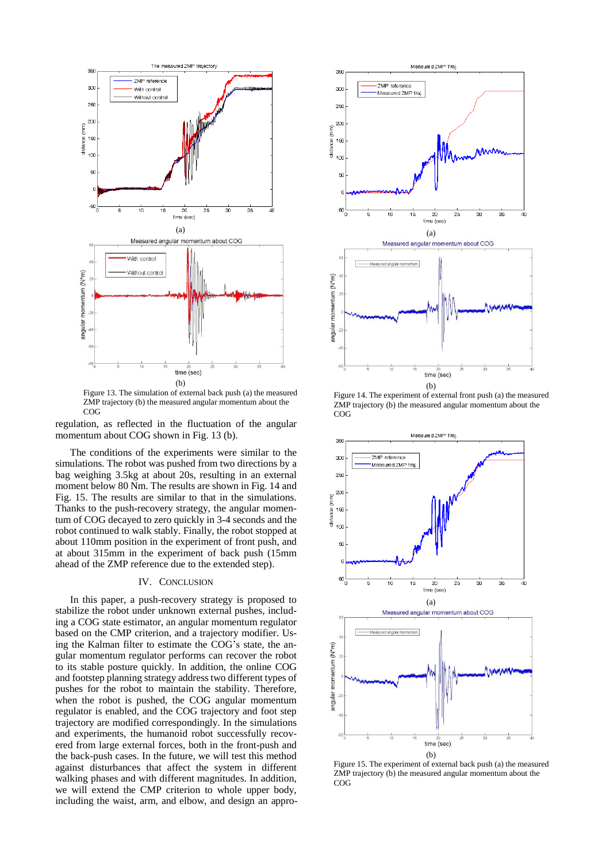

Figure 13. The simulation of external back push (a) the measured ZMP trajectory (b) the measured angular momentum about the COG

regulation, as reflected in the fluctuation of the angular momentum about COG shown in Fig. 13 (b).

The conditions of the experiments were similar to the simulations. The robot was pushed from two directions by a bag weighing 3.5kg at about 20s, resulting in an external moment below 80 Nm. The results are shown in Fig. 14 and Fig. 15. The results are similar to that in the simulations. Thanks to the push-recovery strategy, the angular momentum of COG decayed to zero quickly in 3-4 seconds and the robot continued to walk stably. Finally, the robot stopped at about 110mm position in the experiment of front push, and at about 315mm in the experiment of back push (15mm ahead of the ZMP reference due to the extended step).

#### IV. CONCLUSION

In this paper, a push-recovery strategy is proposed to stabilize the robot under unknown external pushes, including a COG state estimator, an angular momentum regulator based on the CMP criterion, and a trajectory modifier. Using the Kalman filter to estimate the COG's state, the angular momentum regulator performs can recover the robot to its stable posture quickly. In addition, the online COG and footstep planning strategy address two different types of pushes for the robot to maintain the stability. Therefore, when the robot is pushed, the COG angular momentum regulator is enabled, and the COG trajectory and foot step trajectory are modified correspondingly. In the simulations and experiments, the humanoid robot successfully recovered from large external forces, both in the front-push and the back-push cases. In the future, we will test this method against disturbances that affect the system in different walking phases and with different magnitudes. In addition, we will extend the CMP criterion to whole upper body, including the waist, arm, and elbow, and design an appro-



Figure 14. The experiment of external front push (a) the measured ZMP trajectory (b) the measured angular momentum about the COG



Figure 15. The experiment of external back push (a) the measured ZMP trajectory (b) the measured angular momentum about the COG